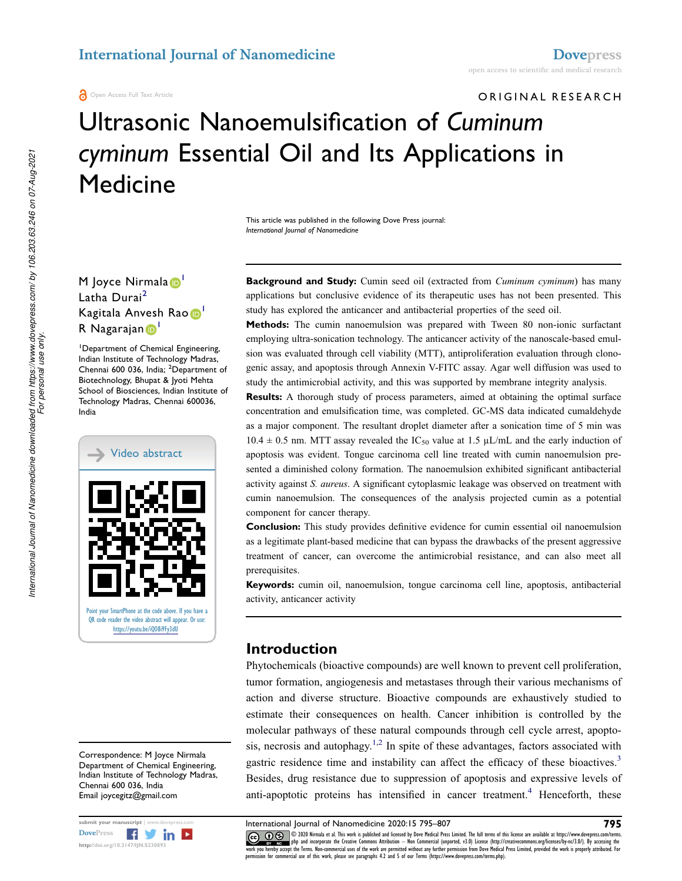## ORIGINAL RESEARCH

# Ultrasonic Nanoemulsification of Cuminum cyminum Essential Oil and Its Applications in **Medicine**

This article was published in the following Dove Press journal: International Journal of Nanomedicine

### M Joyce Nirmala<sup>D</sup> Latha Durai<sup>2</sup> Kagitala Anvesh Rao D R Nagarajan D<sup>1</sup>

<sup>1</sup>Department of Chemical Engineering, Indian Institute of Technology Madras, Chennai 600 036, India; <sup>2</sup>Department of Biotechnology, Bhupat & Jyoti Mehta School of Biosciences, Indian Institute of Technology Madras, Chennai 600036, India



Correspondence: M Joyce Nirmala Department of Chemical Engineering, Indian Institute of Technology Madras, Chennai 600 036, India Email joycegitz@gmail.com

| submit your manuscript   www.dovepress.com |                              |  |  |  |  |  |
|--------------------------------------------|------------------------------|--|--|--|--|--|
| <b>DovePress</b>                           | $\mathbf{f}$ $\mathbf{y}$ in |  |  |  |  |  |
| http://doi.org/10.2147/IJN.S230893         |                              |  |  |  |  |  |

**Background and Study:** Cumin seed oil (extracted from *Cuminum cyminum*) has many applications but conclusive evidence of its therapeutic uses has not been presented. This study has explored the anticancer and antibacterial properties of the seed oil.

Methods: The cumin nanoemulsion was prepared with Tween 80 non-ionic surfactant employing ultra-sonication technology. The anticancer activity of the nanoscale-based emulsion was evaluated through cell viability (MTT), antiproliferation evaluation through clonogenic assay, and apoptosis through Annexin V-FITC assay. Agar well diffusion was used to study the antimicrobial activity, and this was supported by membrane integrity analysis.

Results: A thorough study of process parameters, aimed at obtaining the optimal surface concentration and emulsification time, was completed. GC-MS data indicated cumaldehyde as a major component. The resultant droplet diameter after a sonication time of 5 min was  $10.4 \pm 0.5$  nm. MTT assay revealed the IC<sub>50</sub> value at 1.5  $\mu$ L/mL and the early induction of apoptosis was evident. Tongue carcinoma cell line treated with cumin nanoemulsion presented a diminished colony formation. The nanoemulsion exhibited significant antibacterial activity against S. aureus. A significant cytoplasmic leakage was observed on treatment with cumin nanoemulsion. The consequences of the analysis projected cumin as a potential component for cancer therapy.

**Conclusion:** This study provides definitive evidence for cumin essential oil nanoemulsion as a legitimate plant-based medicine that can bypass the drawbacks of the present aggressive treatment of cancer, can overcome the antimicrobial resistance, and can also meet all prerequisites.

Keywords: cumin oil, nanoemulsion, tongue carcinoma cell line, apoptosis, antibacterial activity, anticancer activity

### Introduction

Phytochemicals (bioactive compounds) are well known to prevent cell proliferation, tumor formation, angiogenesis and metastases through their various mechanisms of action and diverse structure. Bioactive compounds are exhaustively studied to estimate their consequences on health. Cancer inhibition is controlled by the molecular pathways of these natural compounds through cell cycle arrest, apoptosis, necrosis and autophagy.<sup>1,2</sup> In spite of these advantages, factors associated with gastric residence time and instability can affect the efficacy of these bioactives.<sup>3</sup> Besides, drug resistance due to suppression of apoptosis and expressive levels of anti-apoptotic proteins has intensified in cancer treatment.<sup>4</sup> Henceforth, these

International Journal of Nanomedicine 2020:15 795–807 **795** 

CCC © 2020 Nirmala et al. This work is published and licensed by Dove Medical Press Limited. The full terms of this license are available at https://www.dovepress.com/terms. www.comphp and incorporate the Creative Commons Attribution - Non Commercial (unported, v3.0) License (http://creativecommons.org/licenses/by-nc/3.0/). By accessing the<br>work you hereby accept the Terms. Non-commercial uses sion for commercial use of this work, please see paragraphs 4.2 and 5 of our Terms (https://www.dovepress.com/terms.php).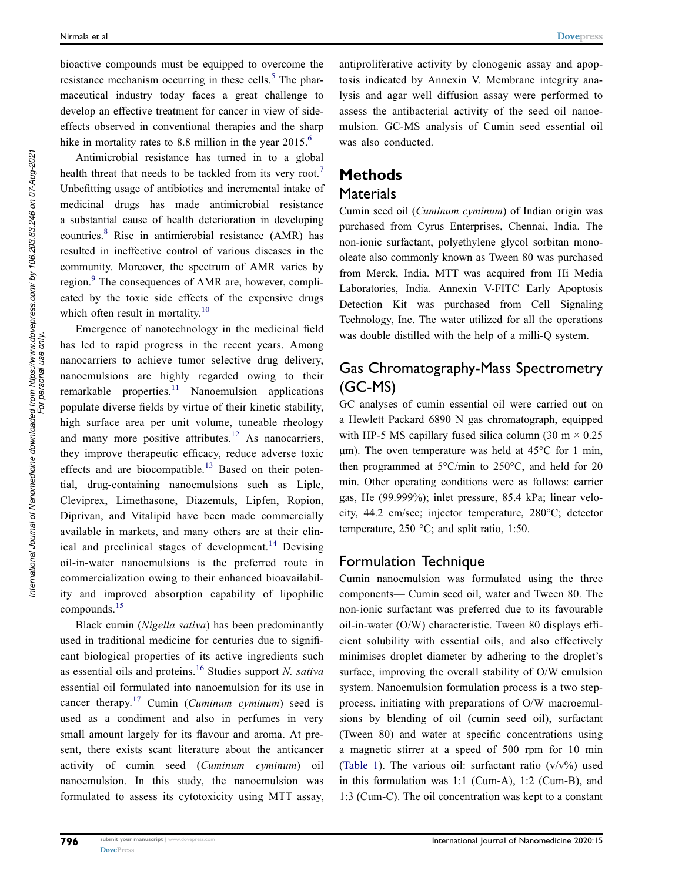bioactive compounds must be equipped to overcome the resistance mechanism occurring in these cells.<sup>5</sup> The pharmaceutical industry today faces a great challenge to develop an effective treatment for cancer in view of sideeffects observed in conventional therapies and the sharp hike in mortality rates to 8.8 million in the year 2015.<sup>6</sup>

Antimicrobial resistance has turned in to a global health threat that needs to be tackled from its very root.<sup>7</sup> Unbefitting usage of antibiotics and incremental intake of medicinal drugs has made antimicrobial resistance a substantial cause of health deterioration in developing countries.<sup>8</sup> Rise in antimicrobial resistance (AMR) has resulted in ineffective control of various diseases in the community. Moreover, the spectrum of AMR varies by region.<sup>9</sup> The consequences of AMR are, however, complicated by the toxic side effects of the expensive drugs which often result in mortality.<sup>10</sup>

Emergence of nanotechnology in the medicinal field has led to rapid progress in the recent years. Among nanocarriers to achieve tumor selective drug delivery, nanoemulsions are highly regarded owing to their remarkable properties.<sup>11</sup> Nanoemulsion applications populate diverse fields by virtue of their kinetic stability, high surface area per unit volume, tuneable rheology and many more positive attributes.<sup>12</sup> As nanocarriers, they improve therapeutic efficacy, reduce adverse toxic effects and are biocompatible.<sup>13</sup> Based on their potential, drug-containing nanoemulsions such as Liple, Cleviprex, Limethasone, Diazemuls, Lipfen, Ropion, Diprivan, and Vitalipid have been made commercially available in markets, and many others are at their clinical and preclinical stages of development.<sup>14</sup> Devising oil-in-water nanoemulsions is the preferred route in commercialization owing to their enhanced bioavailability and improved absorption capability of lipophilic compounds.<sup>15</sup>

Black cumin (Nigella sativa) has been predominantly used in traditional medicine for centuries due to significant biological properties of its active ingredients such as essential oils and proteins.<sup>16</sup> Studies support N. sativa essential oil formulated into nanoemulsion for its use in cancer therapy.<sup>17</sup> Cumin (*Cuminum cyminum*) seed is used as a condiment and also in perfumes in very small amount largely for its flavour and aroma. At present, there exists scant literature about the anticancer activity of cumin seed (Cuminum cyminum) oil nanoemulsion. In this study, the nanoemulsion was formulated to assess its cytotoxicity using MTT assay, antiproliferative activity by clonogenic assay and apoptosis indicated by Annexin V. Membrane integrity analysis and agar well diffusion assay were performed to assess the antibacterial activity of the seed oil nanoemulsion. GC-MS analysis of Cumin seed essential oil was also conducted.

### Methods

### **Materials**

Cumin seed oil (Cuminum cyminum) of Indian origin was purchased from Cyrus Enterprises, Chennai, India. The non-ionic surfactant, polyethylene glycol sorbitan monooleate also commonly known as Tween 80 was purchased from Merck, India. MTT was acquired from Hi Media Laboratories, India. Annexin V-FITC Early Apoptosis Detection Kit was purchased from Cell Signaling Technology, Inc. The water utilized for all the operations was double distilled with the help of a milli-Q system.

### Gas Chromatography-Mass Spectrometry (GC-MS)

GC analyses of cumin essential oil were carried out on a Hewlett Packard 6890 N gas chromatograph, equipped with HP-5 MS capillary fused silica column (30 m  $\times$  0.25 μm). The oven temperature was held at 45°C for 1 min, then programmed at  $5^{\circ}$ C/min to  $250^{\circ}$ C, and held for 20 min. Other operating conditions were as follows: carrier gas, He (99.999%); inlet pressure, 85.4 kPa; linear velocity, 44.2 cm/sec; injector temperature, 280°C; detector temperature, 250 °C; and split ratio, 1:50.

### Formulation Technique

Cumin nanoemulsion was formulated using the three components— Cumin seed oil, water and Tween 80. The non-ionic surfactant was preferred due to its favourable oil-in-water (O/W) characteristic. Tween 80 displays efficient solubility with essential oils, and also effectively minimises droplet diameter by adhering to the droplet's surface, improving the overall stability of O/W emulsion system. Nanoemulsion formulation process is a two stepprocess, initiating with preparations of O/W macroemulsions by blending of oil (cumin seed oil), surfactant (Tween 80) and water at specific concentrations using a magnetic stirrer at a speed of 500 rpm for 10 min (Table 1). The various oil: surfactant ratio  $(v/v\%)$  used in this formulation was 1:1 (Cum-A), 1:2 (Cum-B), and 1:3 (Cum-C). The oil concentration was kept to a constant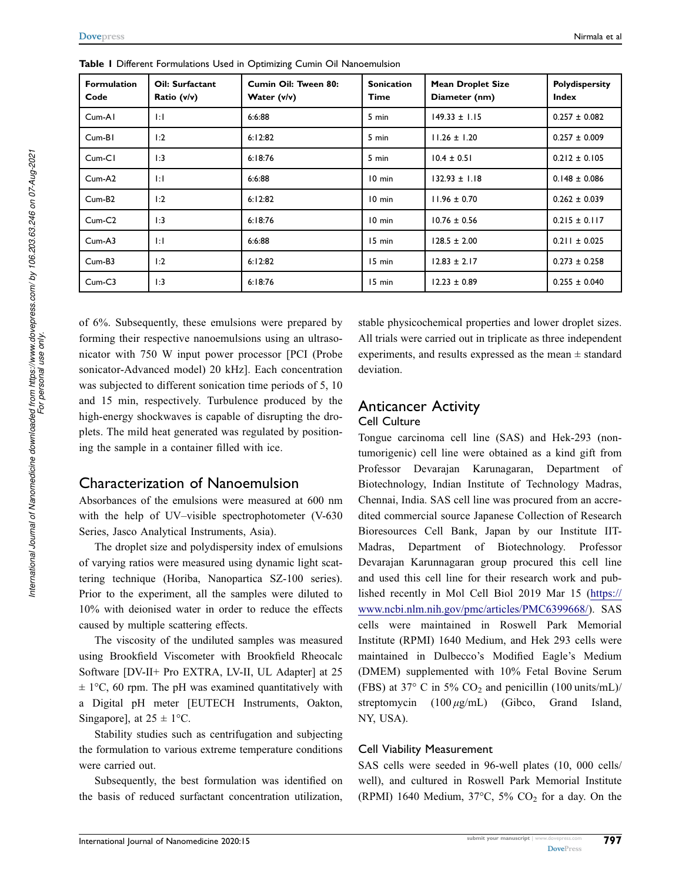| <b>Formulation</b><br>Code | Oil: Surfactant<br>Ratio (v/v) | Cumin Oil: Tween 80:<br>Water (v/v) | <b>Sonication</b><br>Time | <b>Mean Droplet Size</b><br>Diameter (nm) | Polydispersity<br><b>Index</b> |
|----------------------------|--------------------------------|-------------------------------------|---------------------------|-------------------------------------------|--------------------------------|
| $Cum-AI$                   | $\vert \cdot \vert$            | 6:6:88                              | 5 min                     | $149.33 \pm 1.15$                         | $0.257 \pm 0.082$              |
| $Cum-BI$                   | 1:2                            | 6:12:82                             | 5 min                     | $11.26 \pm 1.20$                          | $0.257 \pm 0.009$              |
| $Cum-CI$                   | 1:3                            | 6:18:76                             | 5 min                     | $10.4 \pm 0.51$                           | $0.212 \pm 0.105$              |
| Cum-A <sub>2</sub>         | $\mathbf{E}$                   | 6:6:88                              | $10$ min                  | $132.93 \pm 1.18$                         | $0.148 \pm 0.086$              |
| $Cum-B2$                   | 1:2                            | 6:12:82                             | $10$ min                  | $11.96 \pm 0.70$                          | $0.262 \pm 0.039$              |
| $Cum-C2$                   | 1:3                            | 6:18:76                             | $10$ min                  | $10.76 \pm 0.56$                          | $0.215 \pm 0.117$              |
| $Cum-A3$                   | $\vert \cdot \vert$            | 6:6:88                              | 15 min                    | $128.5 \pm 2.00$                          | $0.211 \pm 0.025$              |
| $Cum-B3$                   | 1:2                            | 6:12:82                             | 15 min                    | $12.83 \pm 2.17$                          | $0.273 \pm 0.258$              |
| $Cum-C3$                   | 1:3                            | 6:18:76                             | 15 min                    | $12.23 \pm 0.89$                          | $0.255 \pm 0.040$              |

Table 1 Different Formulations Used in Optimizing Cumin Oil Nanoemulsion

of 6%. Subsequently, these emulsions were prepared by forming their respective nanoemulsions using an ultrasonicator with 750 W input power processor [PCI (Probe sonicator-Advanced model) 20 kHz]. Each concentration was subjected to different sonication time periods of 5, 10 and 15 min, respectively. Turbulence produced by the high-energy shockwaves is capable of disrupting the droplets. The mild heat generated was regulated by positioning the sample in a container filled with ice.

### Characterization of Nanoemulsion

Absorbances of the emulsions were measured at 600 nm with the help of UV–visible spectrophotometer (V-630 Series, Jasco Analytical Instruments, Asia).

The droplet size and polydispersity index of emulsions of varying ratios were measured using dynamic light scattering technique (Horiba, Nanopartica SZ-100 series). Prior to the experiment, all the samples were diluted to 10% with deionised water in order to reduce the effects caused by multiple scattering effects.

The viscosity of the undiluted samples was measured using Brookfield Viscometer with Brookfield Rheocalc Software [DV-II+ Pro EXTRA, LV-II, UL Adapter] at 25  $\pm$  1°C, 60 rpm. The pH was examined quantitatively with a Digital pH meter [EUTECH Instruments, Oakton, Singapore], at  $25 \pm 1$  °C.

Stability studies such as centrifugation and subjecting the formulation to various extreme temperature conditions were carried out.

Subsequently, the best formulation was identified on the basis of reduced surfactant concentration utilization, stable physicochemical properties and lower droplet sizes. All trials were carried out in triplicate as three independent experiments, and results expressed as the mean  $\pm$  standard deviation.

#### Anticancer Activity Cell Culture

Tongue carcinoma cell line (SAS) and Hek-293 (nontumorigenic) cell line were obtained as a kind gift from Professor Devarajan Karunagaran, Department of Biotechnology, Indian Institute of Technology Madras, Chennai, India. SAS cell line was procured from an accredited commercial source Japanese Collection of Research Bioresources Cell Bank, Japan by our Institute IIT-Madras, Department of Biotechnology. Professor Devarajan Karunnagaran group procured this cell line and used this cell line for their research work and published recently in Mol Cell Biol 2019 Mar 15 (https:// www.ncbi.nlm.nih.gov/pmc/articles/PMC6399668/). SAS cells were maintained in Roswell Park Memorial Institute (RPMI) 1640 Medium, and Hek 293 cells were maintained in Dulbecco's Modified Eagle's Medium (DMEM) supplemented with 10% Fetal Bovine Serum (FBS) at 37° C in 5%  $CO<sub>2</sub>$  and penicillin (100 units/mL)/ streptomycin (100 μg/mL) (Gibco, Grand Island, NY, USA).

#### Cell Viability Measurement

SAS cells were seeded in 96-well plates (10, 000 cells/ well), and cultured in Roswell Park Memorial Institute (RPMI) 1640 Medium,  $37^{\circ}$ C,  $5\%$  CO<sub>2</sub> for a day. On the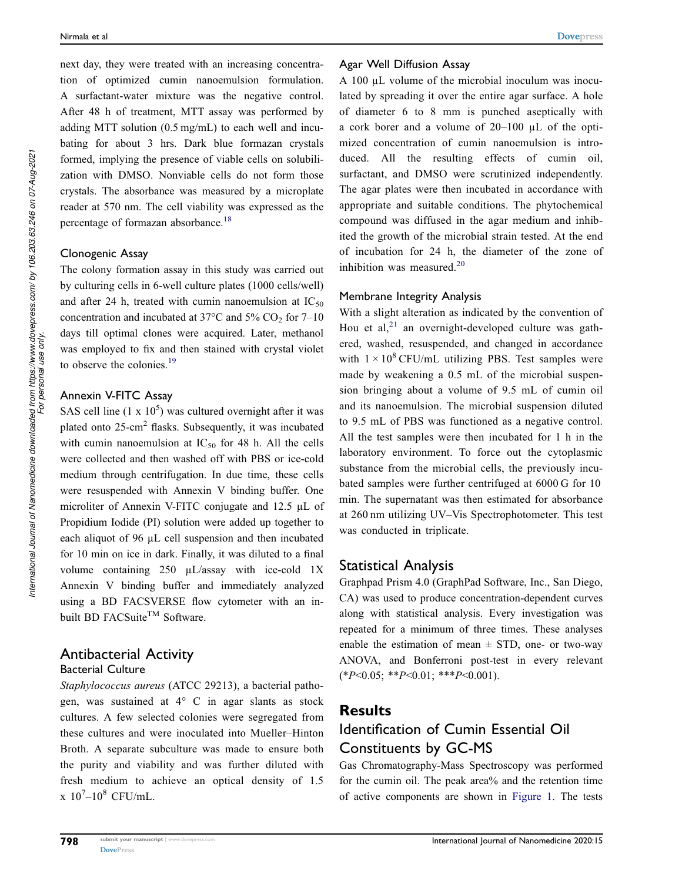next day, they were treated with an increasing concentration of optimized cumin nanoemulsion formulation. A surfactant-water mixture was the negative control. After 48 h of treatment, MTT assay was performed by adding MTT solution (0.5 mg/mL) to each well and incubating for about 3 hrs. Dark blue formazan crystals formed, implying the presence of viable cells on solubilization with DMSO. Nonviable cells do not form those crystals. The absorbance was measured by a microplate reader at 570 nm. The cell viability was expressed as the percentage of formazan absorbance.<sup>18</sup>

#### Clonogenic Assay

The colony formation assay in this study was carried out by culturing cells in 6-well culture plates (1000 cells/well) and after 24 h, treated with cumin nanoemulsion at  $IC_{50}$ concentration and incubated at  $37^{\circ}$ C and  $5\%$  CO<sub>2</sub> for 7–10 days till optimal clones were acquired. Later, methanol was employed to fix and then stained with crystal violet to observe the colonies.<sup>19</sup>

#### Annexin V-FITC Assay

SAS cell line  $(1 \times 10^5)$  was cultured overnight after it was plated onto 25-cm<sup>2</sup> flasks. Subsequently, it was incubated with cumin nanoemulsion at  $IC_{50}$  for 48 h. All the cells were collected and then washed off with PBS or ice-cold medium through centrifugation. In due time, these cells were resuspended with Annexin V binding buffer. One microliter of Annexin V-FITC conjugate and 12.5 µL of Propidium Iodide (PI) solution were added up together to each aliquot of 96 µL cell suspension and then incubated for 10 min on ice in dark. Finally, it was diluted to a final volume containing 250 µL/assay with ice-cold 1X Annexin V binding buffer and immediately analyzed using a BD FACSVERSE flow cytometer with an inbuilt BD FACSuite<sup>TM</sup> Software.

## Antibacterial Activity

### Bacterial Culture

Staphylococcus aureus (ATCC 29213), a bacterial pathogen, was sustained at 4° C in agar slants as stock cultures. A few selected colonies were segregated from these cultures and were inoculated into Mueller–Hinton Broth. A separate subculture was made to ensure both the purity and viability and was further diluted with fresh medium to achieve an optical density of 1.5  $x 10^7 - 10^8$  CFU/mL.

#### Agar Well Diffusion Assay

A 100 µL volume of the microbial inoculum was inoculated by spreading it over the entire agar surface. A hole of diameter 6 to 8 mm is punched aseptically with a cork borer and a volume of 20–100 µL of the optimized concentration of cumin nanoemulsion is introduced. All the resulting effects of cumin oil, surfactant, and DMSO were scrutinized independently. The agar plates were then incubated in accordance with appropriate and suitable conditions. The phytochemical compound was diffused in the agar medium and inhibited the growth of the microbial strain tested. At the end of incubation for 24 h, the diameter of the zone of inhibition was measured. $20$ 

#### Membrane Integrity Analysis

With a slight alteration as indicated by the convention of Hou et al, $^{21}$  an overnight-developed culture was gathered, washed, resuspended, and changed in accordance with  $1 \times 10^8$  CFU/mL utilizing PBS. Test samples were made by weakening a 0.5 mL of the microbial suspension bringing about a volume of 9.5 mL of cumin oil and its nanoemulsion. The microbial suspension diluted to 9.5 mL of PBS was functioned as a negative control. All the test samples were then incubated for 1 h in the laboratory environment. To force out the cytoplasmic substance from the microbial cells, the previously incubated samples were further centrifuged at 6000 G for 10 min. The supernatant was then estimated for absorbance at 260 nm utilizing UV–Vis Spectrophotometer. This test was conducted in triplicate.

#### Statistical Analysis

Graphpad Prism 4.0 (GraphPad Software, Inc., San Diego, CA) was used to produce concentration-dependent curves along with statistical analysis. Every investigation was repeated for a minimum of three times. These analyses enable the estimation of mean  $\pm$  STD, one- or two-way ANOVA, and Bonferroni post-test in every relevant  $(*P<0.05; **P<0.01; **P<0.001).$ 

### **Results**

### Identification of Cumin Essential Oil Constituents by GC-MS

Gas Chromatography-Mass Spectroscopy was performed for the cumin oil. The peak area% and the retention time of active components are shown in Figure 1. The tests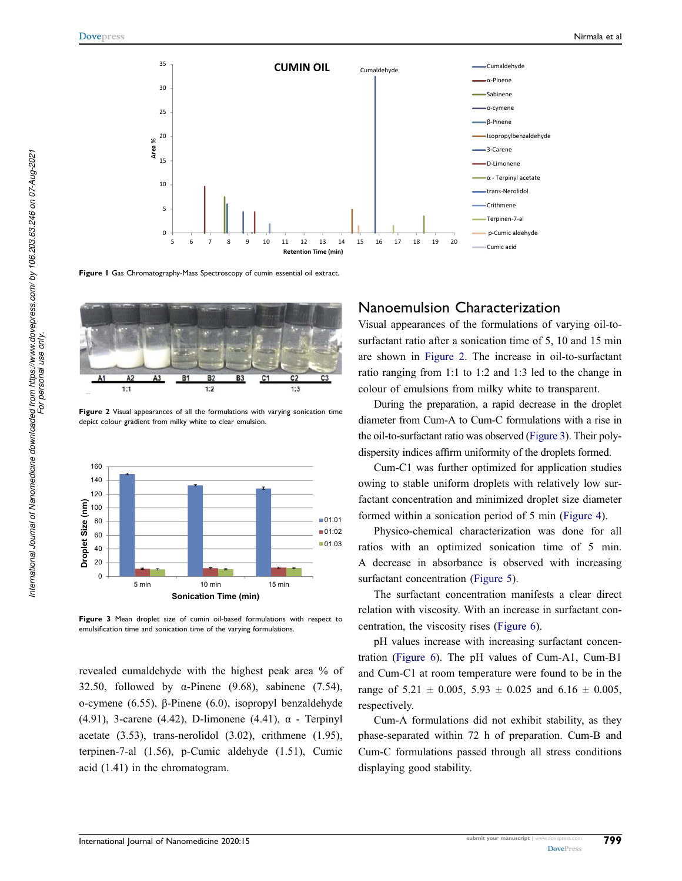

Figure I Gas Chromatography-Mass Spectroscopy of cumin essential oil extract.



Figure 2 Visual appearances of all the formulations with varying sonication time depict colour gradient from milky white to clear emulsion.



Figure 3 Mean droplet size of cumin oil-based formulations with respect to emulsification time and sonication time of the varying formulations.

revealed cumaldehyde with the highest peak area % of 32.50, followed by  $\alpha$ -Pinene (9.68), sabinene (7.54), o-cymene (6.55), β-Pinene (6.0), isopropyl benzaldehyde (4.91), 3-carene (4.42), D-limonene (4.41),  $\alpha$  - Terpinyl acetate (3.53), trans-nerolidol (3.02), crithmene (1.95), terpinen-7-al (1.56), p-Cumic aldehyde (1.51), Cumic acid (1.41) in the chromatogram.

### Nanoemulsion Characterization

Visual appearances of the formulations of varying oil-tosurfactant ratio after a sonication time of 5, 10 and 15 min are shown in Figure 2. The increase in oil-to-surfactant ratio ranging from 1:1 to 1:2 and 1:3 led to the change in colour of emulsions from milky white to transparent.

During the preparation, a rapid decrease in the droplet diameter from Cum-A to Cum-C formulations with a rise in the oil-to-surfactant ratio was observed (Figure 3). Their polydispersity indices affirm uniformity of the droplets formed.

Cum-C1 was further optimized for application studies owing to stable uniform droplets with relatively low surfactant concentration and minimized droplet size diameter formed within a sonication period of 5 min (Figure 4).

Physico-chemical characterization was done for all ratios with an optimized sonication time of 5 min. A decrease in absorbance is observed with increasing surfactant concentration (Figure 5).

The surfactant concentration manifests a clear direct relation with viscosity. With an increase in surfactant concentration, the viscosity rises (Figure 6).

pH values increase with increasing surfactant concentration (Figure 6). The pH values of Cum-A1, Cum-B1 and Cum-C1 at room temperature were found to be in the range of  $5.21 \pm 0.005$ ,  $5.93 \pm 0.025$  and  $6.16 \pm 0.005$ , respectively.

Cum-A formulations did not exhibit stability, as they phase-separated within 72 h of preparation. Cum-B and Cum-C formulations passed through all stress conditions displaying good stability.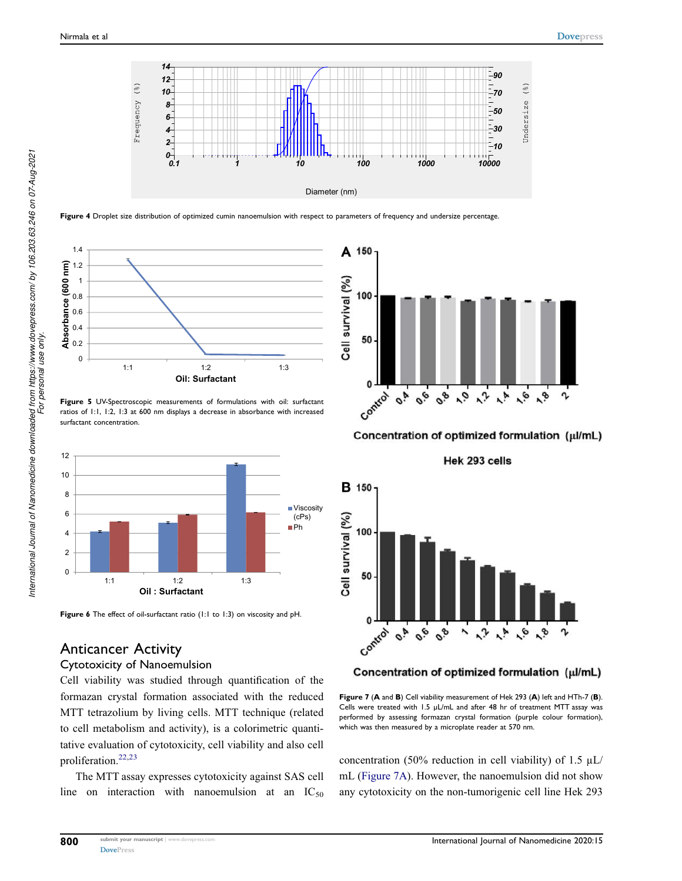





Figure 5 UV-Spectroscopic measurements of formulations with oil: surfactant ratios of 1:1, 1:2, 1:3 at 600 nm displays a decrease in absorbance with increased surfactant concentration.



Figure 6 The effect of oil-surfactant ratio (1:1 to 1:3) on viscosity and pH.

### Anticancer Activity

#### Cytotoxicity of Nanoemulsion

Cell viability was studied through quantification of the formazan crystal formation associated with the reduced MTT tetrazolium by living cells. MTT technique (related to cell metabolism and activity), is a colorimetric quantitative evaluation of cytotoxicity, cell viability and also cell proliferation.22,23

The MTT assay expresses cytotoxicity against SAS cell line on interaction with nanoemulsion at an  $IC_{50}$ 



Concentration of optimized formulation (µl/mL)

Hek 293 cells



#### Concentration of optimized formulation (µl/mL)

Figure 7 (A and B) Cell viability measurement of Hek 293 (A) left and HTh-7 (B). Cells were treated with 1.5 µL/mL and after 48 hr of treatment MTT assay was performed by assessing formazan crystal formation (purple colour formation), which was then measured by a microplate reader at 570 nm.

concentration (50% reduction in cell viability) of 1.5  $\mu$ L/ mL (Figure 7A). However, the nanoemulsion did not show any cytotoxicity on the non-tumorigenic cell line Hek 293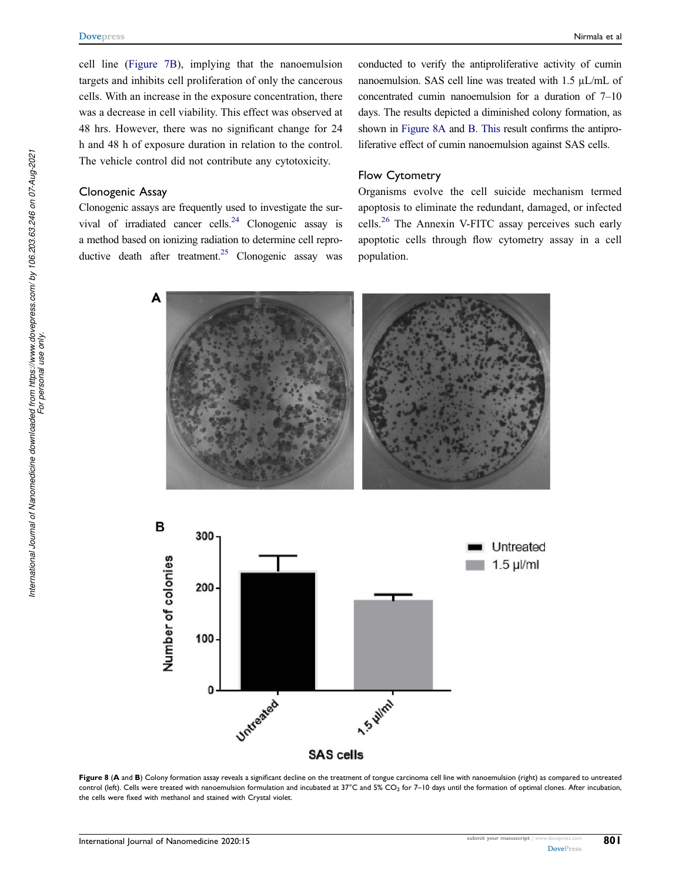cell line (Figure 7B), implying that the nanoemulsion targets and inhibits cell proliferation of only the cancerous cells. With an increase in the exposure concentration, there was a decrease in cell viability. This effect was observed at 48 hrs. However, there was no significant change for 24 h and 48 h of exposure duration in relation to the control. The vehicle control did not contribute any cytotoxicity.

#### Clonogenic Assay

Clonogenic assays are frequently used to investigate the survival of irradiated cancer cells.<sup>24</sup> Clonogenic assay is a method based on ionizing radiation to determine cell reproductive death after treatment.<sup>25</sup> Clonogenic assay was

conducted to verify the antiproliferative activity of cumin nanoemulsion. SAS cell line was treated with 1.5 µL/mL of concentrated cumin nanoemulsion for a duration of 7–10 days. The results depicted a diminished colony formation, as shown in Figure 8A and B. This result confirms the antiproliferative effect of cumin nanoemulsion against SAS cells.

#### Flow Cytometry

Organisms evolve the cell suicide mechanism termed apoptosis to eliminate the redundant, damaged, or infected cells.<sup>26</sup> The Annexin V-FITC assay perceives such early apoptotic cells through flow cytometry assay in a cell population.





Figure 8 (A and B) Colony formation assay reveals a significant decline on the treatment of tongue carcinoma cell line with nanoemulsion (right) as compared to untreated control (left). Cells were treated with nanoemulsion formulation and incubated at  $37^{\circ}$ C and 5% CO<sub>2</sub> for 7–10 days until the formation of optimal clones. After incubation, the cells were fixed with methanol and stained with Crystal violet.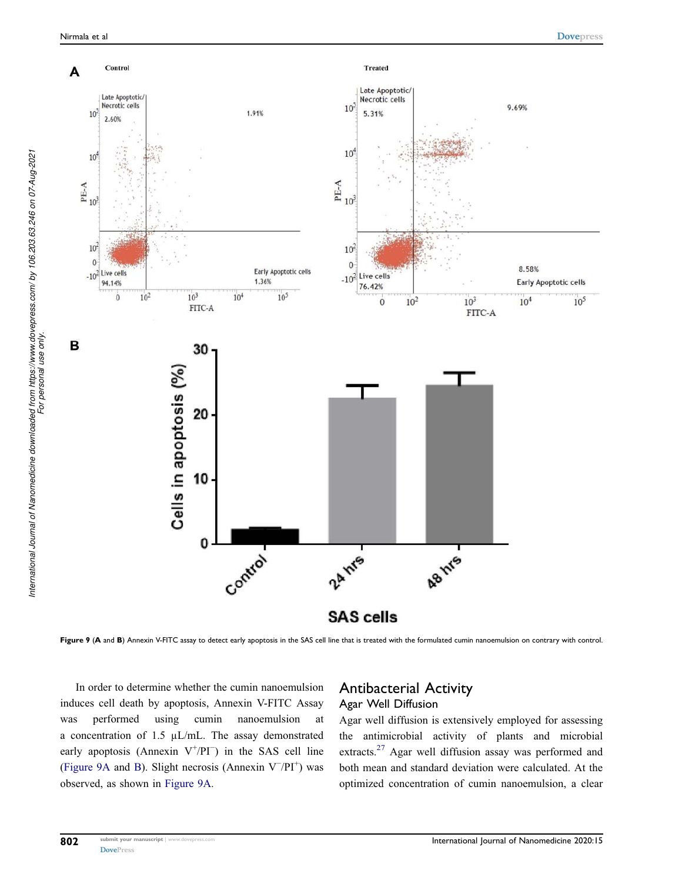*International Journal of Nanomedicine downloaded from https://www.dovepress.com/ by 106.203.63.246 on 07-Aug-2021 For personal use only.*

International Journal of Nanomedicine downloaded from https://www.dovepress.com/ by 106.203.63.246 on 07-Aug-2021<br>For personal use only



Figure 9 (A and B) Annexin V-FITC assay to detect early apoptosis in the SAS cell line that is treated with the formulated cumin nanoemulsion on contrary with control.

In order to determine whether the cumin nanoemulsion induces cell death by apoptosis, Annexin V-FITC Assay was performed using cumin nanoemulsion at a concentration of 1.5 µL/mL. The assay demonstrated early apoptosis (Annexin  $V^+/PI^-$ ) in the SAS cell line (Figure 9A and B). Slight necrosis (Annexin  $V^-/PI^+$ ) was observed, as shown in Figure 9A.

#### Antibacterial Activity Agar Well Diffusion

Agar well diffusion is extensively employed for assessing the antimicrobial activity of plants and microbial extracts.<sup>27</sup> Agar well diffusion assay was performed and both mean and standard deviation were calculated. At the optimized concentration of cumin nanoemulsion, a clear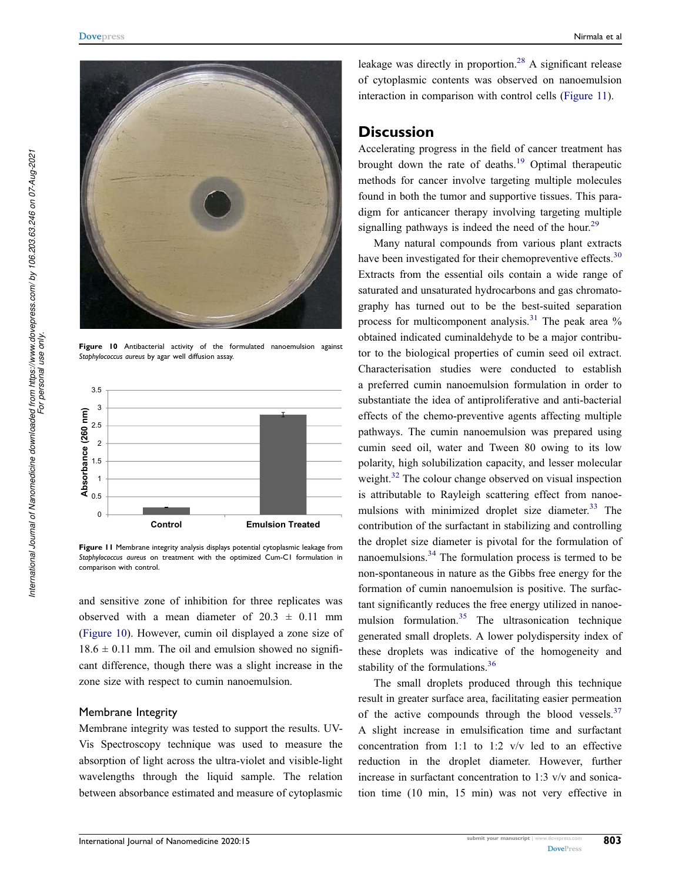

Figure 10 Antibacterial activity of the formulated nanoemulsion against Staphylococcus aureus by agar well diffusion assay.



Figure 11 Membrane integrity analysis displays potential cytoplasmic leakage from Staphylococcus aureus on treatment with the optimized Cum-C1 formulation in comparison with control.

and sensitive zone of inhibition for three replicates was observed with a mean diameter of  $20.3 \pm 0.11$  mm (Figure 10). However, cumin oil displayed a zone size of  $18.6 \pm 0.11$  mm. The oil and emulsion showed no significant difference, though there was a slight increase in the zone size with respect to cumin nanoemulsion.

#### Membrane Integrity

Membrane integrity was tested to support the results. UV-Vis Spectroscopy technique was used to measure the absorption of light across the ultra-violet and visible-light wavelengths through the liquid sample. The relation between absorbance estimated and measure of cytoplasmic

leakage was directly in proportion.<sup>28</sup> A significant release of cytoplasmic contents was observed on nanoemulsion interaction in comparison with control cells (Figure 11).

### **Discussion**

Accelerating progress in the field of cancer treatment has brought down the rate of deaths.<sup>19</sup> Optimal therapeutic methods for cancer involve targeting multiple molecules found in both the tumor and supportive tissues. This paradigm for anticancer therapy involving targeting multiple signalling pathways is indeed the need of the hour.<sup>29</sup>

Many natural compounds from various plant extracts have been investigated for their chemopreventive effects.<sup>30</sup> Extracts from the essential oils contain a wide range of saturated and unsaturated hydrocarbons and gas chromatography has turned out to be the best-suited separation process for multicomponent analysis.<sup>31</sup> The peak area  $\%$ obtained indicated cuminaldehyde to be a major contributor to the biological properties of cumin seed oil extract. Characterisation studies were conducted to establish a preferred cumin nanoemulsion formulation in order to substantiate the idea of antiproliferative and anti-bacterial effects of the chemo-preventive agents affecting multiple pathways. The cumin nanoemulsion was prepared using cumin seed oil, water and Tween 80 owing to its low polarity, high solubilization capacity, and lesser molecular weight.<sup>32</sup> The colour change observed on visual inspection is attributable to Rayleigh scattering effect from nanoemulsions with minimized droplet size diameter. $33$  The contribution of the surfactant in stabilizing and controlling the droplet size diameter is pivotal for the formulation of nanoemulsions.<sup>34</sup> The formulation process is termed to be non-spontaneous in nature as the Gibbs free energy for the formation of cumin nanoemulsion is positive. The surfactant significantly reduces the free energy utilized in nanoemulsion formulation.<sup>35</sup> The ultrasonication technique generated small droplets. A lower polydispersity index of these droplets was indicative of the homogeneity and stability of the formulations.<sup>36</sup>

The small droplets produced through this technique result in greater surface area, facilitating easier permeation of the active compounds through the blood vessels. $37$ A slight increase in emulsification time and surfactant concentration from 1:1 to 1:2 v/v led to an effective reduction in the droplet diameter. However, further increase in surfactant concentration to 1:3 v/v and sonication time (10 min, 15 min) was not very effective in

803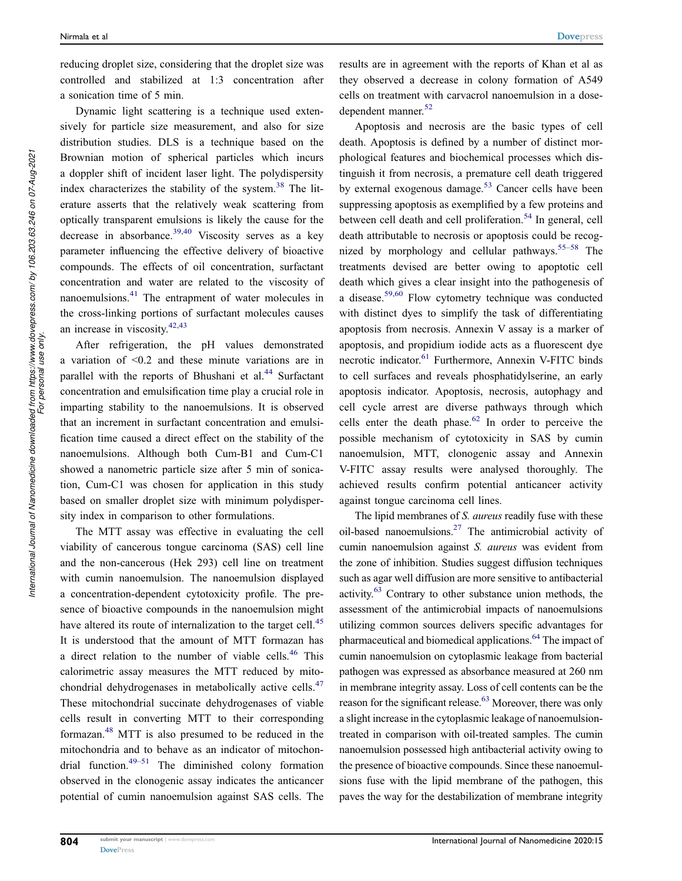reducing droplet size, considering that the droplet size was controlled and stabilized at 1:3 concentration after a sonication time of 5 min.

Dynamic light scattering is a technique used extensively for particle size measurement, and also for size distribution studies. DLS is a technique based on the Brownian motion of spherical particles which incurs a doppler shift of incident laser light. The polydispersity index characterizes the stability of the system.<sup>38</sup> The literature asserts that the relatively weak scattering from optically transparent emulsions is likely the cause for the decrease in absorbance.<sup>39,40</sup> Viscosity serves as a key parameter influencing the effective delivery of bioactive compounds. The effects of oil concentration, surfactant concentration and water are related to the viscosity of nanoemulsions.<sup>41</sup> The entrapment of water molecules in the cross-linking portions of surfactant molecules causes an increase in viscosity.<sup>42,43</sup>

After refrigeration, the pH values demonstrated a variation of <0.2 and these minute variations are in parallel with the reports of Bhushani et al.<sup>44</sup> Surfactant concentration and emulsification time play a crucial role in imparting stability to the nanoemulsions. It is observed that an increment in surfactant concentration and emulsification time caused a direct effect on the stability of the nanoemulsions. Although both Cum-B1 and Cum-C1 showed a nanometric particle size after 5 min of sonication, Cum-C1 was chosen for application in this study based on smaller droplet size with minimum polydispersity index in comparison to other formulations.

The MTT assay was effective in evaluating the cell viability of cancerous tongue carcinoma (SAS) cell line and the non-cancerous (Hek 293) cell line on treatment with cumin nanoemulsion. The nanoemulsion displayed a concentration-dependent cytotoxicity profile. The presence of bioactive compounds in the nanoemulsion might have altered its route of internalization to the target cell.<sup>45</sup> It is understood that the amount of MTT formazan has a direct relation to the number of viable cells.<sup>46</sup> This calorimetric assay measures the MTT reduced by mitochondrial dehydrogenases in metabolically active cells.<sup>47</sup> These mitochondrial succinate dehydrogenases of viable cells result in converting MTT to their corresponding formazan.<sup>48</sup> MTT is also presumed to be reduced in the mitochondria and to behave as an indicator of mitochondrial function. $49-51$  The diminished colony formation observed in the clonogenic assay indicates the anticancer potential of cumin nanoemulsion against SAS cells. The results are in agreement with the reports of Khan et al as they observed a decrease in colony formation of A549 cells on treatment with carvacrol nanoemulsion in a dosedependent manner.<sup>52</sup>

Apoptosis and necrosis are the basic types of cell death. Apoptosis is defined by a number of distinct morphological features and biochemical processes which distinguish it from necrosis, a premature cell death triggered by external exogenous damage.<sup>53</sup> Cancer cells have been suppressing apoptosis as exemplified by a few proteins and between cell death and cell proliferation.<sup>54</sup> In general, cell death attributable to necrosis or apoptosis could be recognized by morphology and cellular pathways.<sup>55–58</sup> The treatments devised are better owing to apoptotic cell death which gives a clear insight into the pathogenesis of a disease.59,60 Flow cytometry technique was conducted with distinct dyes to simplify the task of differentiating apoptosis from necrosis. Annexin V assay is a marker of apoptosis, and propidium iodide acts as a fluorescent dye necrotic indicator.<sup>61</sup> Furthermore, Annexin V-FITC binds to cell surfaces and reveals phosphatidylserine, an early apoptosis indicator. Apoptosis, necrosis, autophagy and cell cycle arrest are diverse pathways through which cells enter the death phase. $62$  In order to perceive the possible mechanism of cytotoxicity in SAS by cumin nanoemulsion, MTT, clonogenic assay and Annexin V-FITC assay results were analysed thoroughly. The achieved results confirm potential anticancer activity against tongue carcinoma cell lines.

The lipid membranes of S. *aureus* readily fuse with these oil-based nanoemulsions. $27$  The antimicrobial activity of cumin nanoemulsion against S. aureus was evident from the zone of inhibition. Studies suggest diffusion techniques such as agar well diffusion are more sensitive to antibacterial activity.<sup>63</sup> Contrary to other substance union methods, the assessment of the antimicrobial impacts of nanoemulsions utilizing common sources delivers specific advantages for pharmaceutical and biomedical applications.<sup>64</sup> The impact of cumin nanoemulsion on cytoplasmic leakage from bacterial pathogen was expressed as absorbance measured at 260 nm in membrane integrity assay. Loss of cell contents can be the reason for the significant release.<sup>63</sup> Moreover, there was only a slight increase in the cytoplasmic leakage of nanoemulsiontreated in comparison with oil-treated samples. The cumin nanoemulsion possessed high antibacterial activity owing to the presence of bioactive compounds. Since these nanoemulsions fuse with the lipid membrane of the pathogen, this paves the way for the destabilization of membrane integrity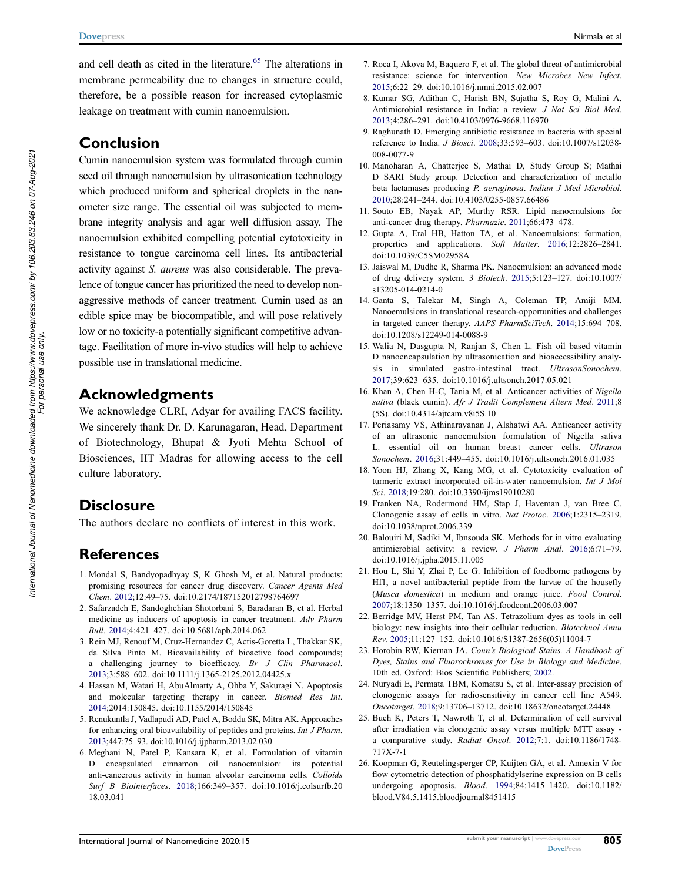and cell death as cited in the literature.<sup>65</sup> The alterations in membrane permeability due to changes in structure could, therefore, be a possible reason for increased cytoplasmic leakage on treatment with cumin nanoemulsion.

### Conclusion

Cumin nanoemulsion system was formulated through cumin seed oil through nanoemulsion by ultrasonication technology which produced uniform and spherical droplets in the nanometer size range. The essential oil was subjected to membrane integrity analysis and agar well diffusion assay. The nanoemulsion exhibited compelling potential cytotoxicity in resistance to tongue carcinoma cell lines. Its antibacterial activity against S. aureus was also considerable. The prevalence of tongue cancer has prioritized the need to develop nonaggressive methods of cancer treatment. Cumin used as an edible spice may be biocompatible, and will pose relatively low or no toxicity-a potentially significant competitive advantage. Facilitation of more in-vivo studies will help to achieve possible use in translational medicine.

### Acknowledgments

We acknowledge CLRI, Adyar for availing FACS facility. We sincerely thank Dr. D. Karunagaran, Head, Department of Biotechnology, Bhupat & Jyoti Mehta School of Biosciences, IIT Madras for allowing access to the cell culture laboratory.

### **Disclosure**

The authors declare no conflicts of interest in this work.

### **References**

- 1. Mondal S, Bandyopadhyay S, K Ghosh M, et al. Natural products: promising resources for cancer drug discovery. Cancer Agents Med Chem. 2012;12:49–75. doi:10.2174/187152012798764697
- 2. Safarzadeh E, Sandoghchian Shotorbani S, Baradaran B, et al. Herbal medicine as inducers of apoptosis in cancer treatment. Adv Pharm Bull. 2014;4:421–427. doi:10.5681/apb.2014.062
- 3. Rein MJ, Renouf M, Cruz-Hernandez C, Actis-Goretta L, Thakkar SK, da Silva Pinto M. Bioavailability of bioactive food compounds; a challenging journey to bioefficacy. Br J Clin Pharmacol. 2013;3:588–602. doi:10.1111/j.1365-2125.2012.04425.x
- 4. Hassan M, Watari H, AbuAlmatty A, Ohba Y, Sakuragi N. Apoptosis and molecular targeting therapy in cancer. Biomed Res Int. 2014;2014:150845. doi:10.1155/2014/150845
- 5. Renukuntla J, Vadlapudi AD, Patel A, Boddu SK, Mitra AK. Approaches for enhancing oral bioavailability of peptides and proteins. Int J Pharm. 2013;447:75–93. doi:10.1016/j.ijpharm.2013.02.030
- 6. Meghani N, Patel P, Kansara K, et al. Formulation of vitamin D encapsulated cinnamon oil nanoemulsion: its potential anti-cancerous activity in human alveolar carcinoma cells. Colloids Surf B Biointerfaces. 2018;166:349–357. doi:10.1016/j.colsurfb.20 18.03.041
- 7. Roca I, Akova M, Baquero F, et al. The global threat of antimicrobial resistance: science for intervention. New Microbes New Infect. 2015;6:22–29. doi:10.1016/j.nmni.2015.02.007
- 8. Kumar SG, Adithan C, Harish BN, Sujatha S, Roy G, Malini A. Antimicrobial resistance in India: a review. J Nat Sci Biol Med. 2013;4:286–291. doi:10.4103/0976-9668.116970
- 9. Raghunath D. Emerging antibiotic resistance in bacteria with special reference to India. J Biosci. 2008;33:593–603. doi:10.1007/s12038- 008-0077-9
- 10. Manoharan A, Chatterjee S, Mathai D, Study Group S; Mathai D SARI Study group. Detection and characterization of metallo beta lactamases producing P. aeruginosa. Indian J Med Microbiol. 2010;28:241–244. doi:10.4103/0255-0857.66486
- 11. Souto EB, Nayak AP, Murthy RSR. Lipid nanoemulsions for anti-cancer drug therapy. Pharmazie. 2011;66:473–478.
- 12. Gupta A, Eral HB, Hatton TA, et al. Nanoemulsions: formation, properties and applications. Soft Matter. 2016;12:2826–2841. doi:10.1039/C5SM02958A
- 13. Jaiswal M, Dudhe R, Sharma PK. Nanoemulsion: an advanced mode of drug delivery system. 3 Biotech. 2015;5:123–127. doi:10.1007/ s13205-014-0214-0
- 14. Ganta S, Talekar M, Singh A, Coleman TP, Amiji MM. Nanoemulsions in translational research-opportunities and challenges in targeted cancer therapy. AAPS PharmSciTech. 2014;15:694–708. doi:10.1208/s12249-014-0088-9
- 15. Walia N, Dasgupta N, Ranjan S, Chen L. Fish oil based vitamin D nanoencapsulation by ultrasonication and bioaccessibility analysis in simulated gastro-intestinal tract. UltrasonSonochem. 2017;39:623–635. doi:10.1016/j.ultsonch.2017.05.021
- 16. Khan A, Chen H-C, Tania M, et al. Anticancer activities of Nigella sativa (black cumin). Afr J Tradit Complement Altern Med. 2011;8 (5S). doi:10.4314/ajtcam.v8i5S.10
- 17. Periasamy VS, Athinarayanan J, Alshatwi AA. Anticancer activity of an ultrasonic nanoemulsion formulation of Nigella sativa L. essential oil on human breast cancer cells. Ultrason Sonochem. 2016;31:449–455. doi:10.1016/j.ultsonch.2016.01.035
- 18. Yoon HJ, Zhang X, Kang MG, et al. Cytotoxicity evaluation of turmeric extract incorporated oil-in-water nanoemulsion. Int J Mol Sci. 2018;19:280. doi:10.3390/ijms19010280
- 19. Franken NA, Rodermond HM, Stap J, Haveman J, van Bree C. Clonogenic assay of cells in vitro. Nat Protoc. 2006;1:2315–2319. doi:10.1038/nprot.2006.339
- 20. Balouiri M, Sadiki M, Ibnsouda SK. Methods for in vitro evaluating antimicrobial activity: a review. J Pharm Anal. 2016;6:71–79. doi:10.1016/j.jpha.2015.11.005
- 21. Hou L, Shi Y, Zhai P, Le G. Inhibition of foodborne pathogens by Hf1, a novel antibacterial peptide from the larvae of the housefly (Musca domestica) in medium and orange juice. Food Control. 2007;18:1350–1357. doi:10.1016/j.foodcont.2006.03.007
- 22. Berridge MV, Herst PM, Tan AS. Tetrazolium dyes as tools in cell biology: new insights into their cellular reduction. Biotechnol Annu Rev. 2005;11:127–152. doi:10.1016/S1387-2656(05)11004-7
- 23. Horobin RW, Kiernan JA. Conn's Biological Stains. A Handbook of Dyes, Stains and Fluorochromes for Use in Biology and Medicine. 10th ed. Oxford: Bios Scientific Publishers; 2002.
- 24. Nuryadi E, Permata TBM, Komatsu S, et al. Inter-assay precision of clonogenic assays for radiosensitivity in cancer cell line A549. Oncotarget. 2018;9:13706–13712. doi:10.18632/oncotarget.24448
- 25. Buch K, Peters T, Nawroth T, et al. Determination of cell survival after irradiation via clonogenic assay versus multiple MTT assay a comparative study. Radiat Oncol. 2012;7:1. doi:10.1186/1748- 717X-7-1
- 26. Koopman G, Reutelingsperger CP, Kuijten GA, et al. Annexin V for flow cytometric detection of phosphatidylserine expression on B cells undergoing apoptosis. Blood. 1994;84:1415–1420. doi:10.1182/ blood.V84.5.1415.bloodjournal8451415

805

*International Journal of Nanomedicine downloaded from https://www.dovepress.com/ by 106.203.63.246 on 07-Aug-2021*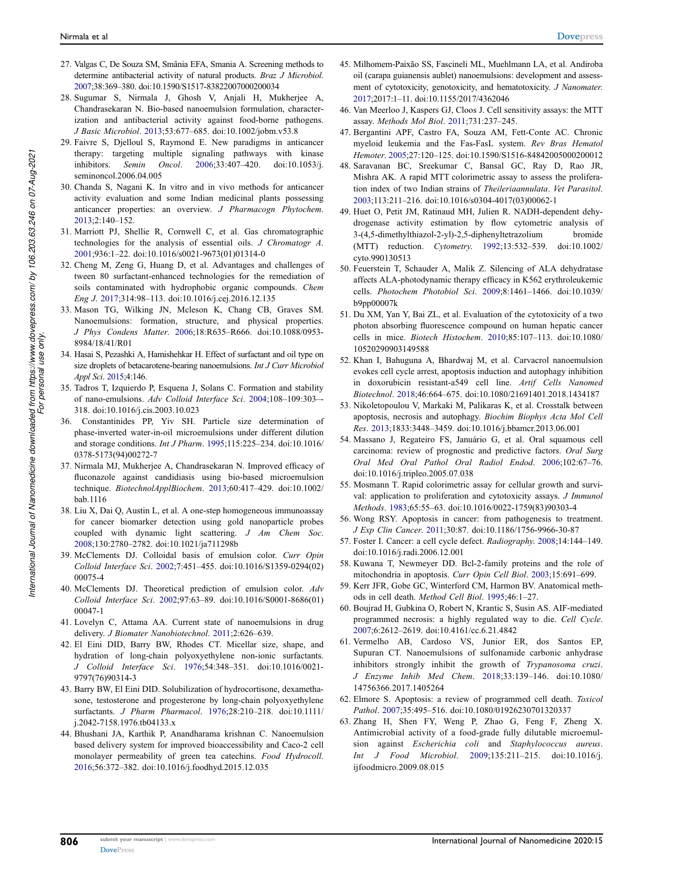- 27. Valgas C, De Souza SM, Smânia EFA, Smania A. Screening methods to determine antibacterial activity of natural products. Braz J Microbiol. 2007;38:369–380. doi:10.1590/S1517-83822007000200034
- 28. Sugumar S, Nirmala J, Ghosh V, Anjali H, Mukherjee A, Chandrasekaran N. Bio-based nanoemulsion formulation, characterization and antibacterial activity against food-borne pathogens. J Basic Microbiol. 2013;53:677–685. doi:10.1002/jobm.v53.8
- 29. Faivre S, Djelloul S, Raymond E. New paradigms in anticancer therapy: targeting multiple signaling pathways with kinase inhibitors. Semin Oncol. 2006;33:407–420. doi:10.1053/j. seminoncol.2006.04.005
- 30. Chanda S, Nagani K. In vitro and in vivo methods for anticancer activity evaluation and some Indian medicinal plants possessing anticancer properties: an overview. J Pharmacogn Phytochem. 2013;2:140–152.
- 31. Marriott PJ, Shellie R, Cornwell C, et al. Gas chromatographic technologies for the analysis of essential oils. J Chromatogr A. 2001;936:1–22. doi:10.1016/s0021-9673(01)01314-0
- 32. Cheng M, Zeng G, Huang D, et al. Advantages and challenges of tween 80 surfactant-enhanced technologies for the remediation of soils contaminated with hydrophobic organic compounds. Chem Eng J. 2017;314:98–113. doi:10.1016/j.cej.2016.12.135
- 33. Mason TG, Wilking JN, Mcleson K, Chang CB, Graves SM. Nanoemulsions: formation, structure, and physical properties. J Phys Condens Matter. 2006;18:R635–R666. doi:10.1088/0953- 8984/18/41/R01
- 34. Hasai S, Pezashki A, Hamishehkar H. Effect of surfactant and oil type on size droplets of betacarotene-bearing nanoemulsions. Int J Curr Microbiol Appl Sci. 2015;4:146.
- 35. Tadros T, Izquierdo P, Esquena J, Solans C. Formation and stability of nano-emulsions. Adv Colloid Interface Sci. 2004;108–109:303–- 318. doi:10.1016/j.cis.2003.10.023
- 36. Constantinides PP, Yiv SH. Particle size determination of phase-inverted water-in-oil microemulsions under different dilution and storage conditions. Int J Pharm. 1995;115:225–234. doi:10.1016/ 0378-5173(94)00272-7
- 37. Nirmala MJ, Mukherjee A, Chandrasekaran N. Improved efficacy of fluconazole against candidiasis using bio-based microemulsion technique. BiotechnolApplBiochem. 2013;60:417–429. doi:10.1002/ bab.1116
- 38. Liu X, Dai Q, Austin L, et al. A one-step homogeneous immunoassay for cancer biomarker detection using gold nanoparticle probes coupled with dynamic light scattering. J Am Chem Soc. 2008;130:2780–2782. doi:10.1021/ja711298b
- 39. McClements DJ. Colloidal basis of emulsion color. Curr Opin Colloid Interface Sci. 2002;7:451–455. doi:10.1016/S1359-0294(02) 00075-4
- 40. McClements DJ. Theoretical prediction of emulsion color. Adv Colloid Interface Sci. 2002;97:63–89. doi:10.1016/S0001-8686(01) 00047-1
- 41. Lovelyn C, Attama AA. Current state of nanoemulsions in drug delivery. J Biomater Nanobiotechnol. 2011;2:626–639.
- 42. El Eini DID, Barry BW, Rhodes CT. Micellar size, shape, and hydration of long-chain polyoxyethylene non-ionic surfactants. J Colloid Interface Sci. 1976;54:348–351. doi:10.1016/0021- 9797(76)90314-3
- 43. Barry BW, El Eini DID. Solubilization of hydrocortisone, dexamethasone, testosterone and progesterone by long-chain polyoxyethylene surfactants. J Pharm Pharmacol. 1976;28:210–218. doi:10.1111/ j.2042-7158.1976.tb04133.x
- 44. Bhushani JA, Karthik P, Anandharama krishnan C. Nanoemulsion based delivery system for improved bioaccessibility and Caco-2 cell monolayer permeability of green tea catechins. Food Hydrocoll. 2016;56:372–382. doi:10.1016/j.foodhyd.2015.12.035
- 45. Milhomem-Paixão SS, Fascineli ML, Muehlmann LA, et al. Andiroba oil (carapa guianensis aublet) nanoemulsions: development and assessment of cytotoxicity, genotoxicity, and hematotoxicity. J Nanomater. 2017;2017:1–11. doi:10.1155/2017/4362046
- 46. Van Meerloo J, Kaspers GJ, Cloos J. Cell sensitivity assays: the MTT assay. Methods Mol Biol. 2011;731:237–245.
- 47. Bergantini APF, Castro FA, Souza AM, Fett-Conte AC. Chronic myeloid leukemia and the Fas-FasL system. Rev Bras Hematol Hemoter. 2005;27:120–125. doi:10.1590/S1516-84842005000200012
- 48. Saravanan BC, Sreekumar C, Bansal GC, Ray D, Rao JR, Mishra AK. A rapid MTT colorimetric assay to assess the proliferation index of two Indian strains of Theileriaannulata. Vet Parasitol. 2003;113:211–216. doi:10.1016/s0304-4017(03)00062-1
- 49. Huet O, Petit JM, Ratinaud MH, Julien R. NADH-dependent dehydrogenase activity estimation by flow cytometric analysis of 3-(4,5-dimethylthiazol-2-yl)-2,5-diphenyltetrazolium bromide (MTT) reduction. Cytometry. 1992;13:532–539. doi:10.1002/ cyto.990130513
- 50. Feuerstein T, Schauder A, Malik Z. Silencing of ALA dehydratase affects ALA-photodynamic therapy efficacy in K562 erythroleukemic cells. Photochem Photobiol Sci. 2009;8:1461–1466. doi:10.1039/ b9pp00007k
- 51. Du XM, Yan Y, Bai ZL, et al. Evaluation of the cytotoxicity of a two photon absorbing fluorescence compound on human hepatic cancer cells in mice. Biotech Histochem. 2010;85:107–113. doi:10.1080/ 10520290903149588
- 52. Khan I, Bahuguna A, Bhardwaj M, et al. Carvacrol nanoemulsion evokes cell cycle arrest, apoptosis induction and autophagy inhibition in doxorubicin resistant-a549 cell line. Artif Cells Nanomed Biotechnol. 2018;46:664–675. doi:10.1080/21691401.2018.1434187
- 53. Nikoletopoulou V, Markaki M, Palikaras K, et al. Crosstalk between apoptosis, necrosis and autophagy. Biochim Biophys Acta Mol Cell Res. 2013;1833:3448–3459. doi:10.1016/j.bbamcr.2013.06.001
- 54. Massano J, Regateiro FS, Januário G, et al. Oral squamous cell carcinoma: review of prognostic and predictive factors. Oral Surg Oral Med Oral Pathol Oral Radiol Endod. 2006;102:67–76. doi:10.1016/j.tripleo.2005.07.038
- 55. Mosmann T. Rapid colorimetric assay for cellular growth and survival: application to proliferation and cytotoxicity assays. J Immunol Methods. 1983;65:55–63. doi:10.1016/0022-1759(83)90303-4
- 56. Wong RSY. Apoptosis in cancer: from pathogenesis to treatment. J Exp Clin Cancer. 2011;30:87. doi:10.1186/1756-9966-30-87
- 57. Foster I. Cancer: a cell cycle defect. Radiography. 2008;14:144–149. doi:10.1016/j.radi.2006.12.001
- 58. Kuwana T, Newmeyer DD. Bcl-2-family proteins and the role of mitochondria in apoptosis. Curr Opin Cell Biol. 2003;15:691–699.
- 59. Kerr JFR, Gobe GC, Winterford CM, Harmon BV. Anatomical methods in cell death. Method Cell Biol. 1995;46:1–27.
- 60. Boujrad H, Gubkina O, Robert N, Krantic S, Susin AS. AIF-mediated programmed necrosis: a highly regulated way to die. Cell Cycle. 2007;6:2612–2619. doi:10.4161/cc.6.21.4842
- 61. Vermelho AB, Cardoso VS, Junior ER, dos Santos EP, Supuran CT. Nanoemulsions of sulfonamide carbonic anhydrase inhibitors strongly inhibit the growth of Trypanosoma cruzi. J Enzyme Inhib Med Chem. 2018;33:139–146. doi:10.1080/ 14756366.2017.1405264
- 62. Elmore S. Apoptosis: a review of programmed cell death. Toxicol Pathol. 2007;35:495–516. doi:10.1080/01926230701320337
- 63. Zhang H, Shen FY, Weng P, Zhao G, Feng F, Zheng X. Antimicrobial activity of a food-grade fully dilutable microemulsion against Escherichia coli and Staphylococcus aureus. Int J Food Microbiol. 2009;135:211–215. doi:10.1016/j. ijfoodmicro.2009.08.015